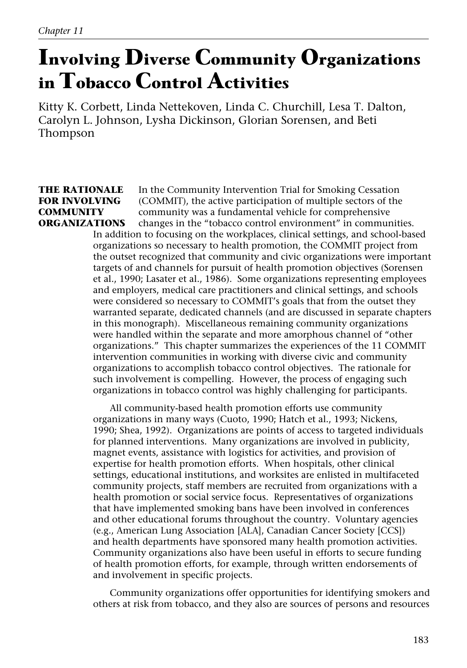## **Involving Diverse Community Organizations in Tobacco Control Activities**

Kitty K. Corbett, Linda Nettekoven, Linda C. Churchill, Lesa T. Dalton, Carolyn L. Johnson, Lysha Dickinson, Glorian Sorensen, and Beti Thompson

**THE RATIONALE** In the Community Intervention Trial for Smoking Cessation **FOR INVOLVING** (COMMIT), the active participation of multiple sectors of the **COMMUNITY** community was a fundamental vehicle for comprehensive

**ORGANIZATIONS** changes in the "tobacco control environment" in communities. In addition to focusing on the workplaces, clinical settings, and school-based organizations so necessary to health promotion, the COMMIT project from the outset recognized that community and civic organizations were important targets of and channels for pursuit of health promotion objectives (Sorensen et al., 1990; Lasater et al., 1986). Some organizations representing employees and employers, medical care practitioners and clinical settings, and schools were considered so necessary to COMMIT's goals that from the outset they warranted separate, dedicated channels (and are discussed in separate chapters in this monograph). Miscellaneous remaining community organizations were handled within the separate and more amorphous channel of "other organizations." This chapter summarizes the experiences of the 11 COMMIT intervention communities in working with diverse civic and community organizations to accomplish tobacco control objectives. The rationale for such involvement is compelling. However, the process of engaging such organizations in tobacco control was highly challenging for participants.

> All community-based health promotion efforts use community organizations in many ways (Cuoto, 1990; Hatch et al., 1993; Nickens, 1990; Shea, 1992). Organizations are points of access to targeted individuals for planned interventions. Many organizations are involved in publicity, magnet events, assistance with logistics for activities, and provision of expertise for health promotion efforts. When hospitals, other clinical settings, educational institutions, and worksites are enlisted in multifaceted community projects, staff members are recruited from organizations with a health promotion or social service focus. Representatives of organizations that have implemented smoking bans have been involved in conferences and other educational forums throughout the country. Voluntary agencies (e.g., American Lung Association [ALA], Canadian Cancer Society [CCS]) and health departments have sponsored many health promotion activities. Community organizations also have been useful in efforts to secure funding of health promotion efforts, for example, through written endorsements of and involvement in specific projects.

Community organizations offer opportunities for identifying smokers and others at risk from tobacco, and they also are sources of persons and resources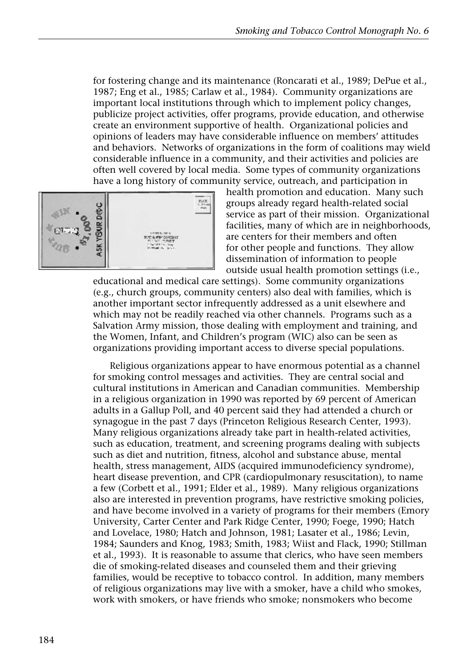for fostering change and its maintenance (Roncarati et al., 1989; DePue et al., 1987; Eng et al., 1985; Carlaw et al., 1984). Community organizations are important local institutions through which to implement policy changes, publicize project activities, offer programs, provide education, and otherwise create an environment supportive of health. Organizational policies and opinions of leaders may have considerable influence on members' attitudes and behaviors. Networks of organizations in the form of coalitions may wield considerable influence in a community, and their activities and policies are often well covered by local media. Some types of community organizations have a long history of community service, outreach, and participation in



health promotion and education. Many such groups already regard health-related social service as part of their mission. Organizational facilities, many of which are in neighborhoods, are centers for their members and often for other people and functions. They allow dissemination of information to people outside usual health promotion settings (i.e.,

educational and medical care settings). Some community organizations (e.g., church groups, community centers) also deal with families, which is another important sector infrequently addressed as a unit elsewhere and which may not be readily reached via other channels. Programs such as a Salvation Army mission, those dealing with employment and training, and the Women, Infant, and Children's program (WIC) also can be seen as organizations providing important access to diverse special populations.

Religious organizations appear to have enormous potential as a channel for smoking control messages and activities. They are central social and cultural institutions in American and Canadian communities. Membership in a religious organization in 1990 was reported by 69 percent of American adults in a Gallup Poll, and 40 percent said they had attended a church or synagogue in the past 7 days (Princeton Religious Research Center, 1993). Many religious organizations already take part in health-related activities, such as education, treatment, and screening programs dealing with subjects such as diet and nutrition, fitness, alcohol and substance abuse, mental health, stress management, AIDS (acquired immunodeficiency syndrome), heart disease prevention, and CPR (cardiopulmonary resuscitation), to name a few (Corbett et al., 1991; Elder et al., 1989). Many religious organizations also are interested in prevention programs, have restrictive smoking policies, and have become involved in a variety of programs for their members (Emory University, Carter Center and Park Ridge Center, 1990; Foege, 1990; Hatch and Lovelace, 1980; Hatch and Johnson, 1981; Lasater et al., 1986; Levin, 1984; Saunders and Knog, 1983; Smith, 1983; Wiist and Flack, 1990; Stillman et al., 1993). It is reasonable to assume that clerics, who have seen members die of smoking-related diseases and counseled them and their grieving families, would be receptive to tobacco control. In addition, many members of religious organizations may live with a smoker, have a child who smokes, work with smokers, or have friends who smoke; nonsmokers who become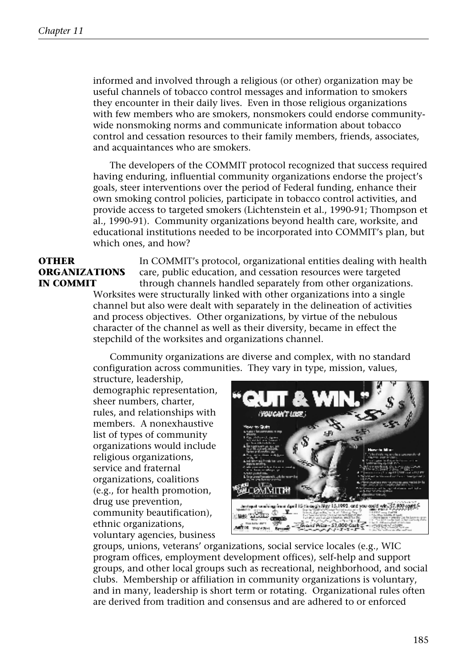informed and involved through a religious (or other) organization may be useful channels of tobacco control messages and information to smokers they encounter in their daily lives. Even in those religious organizations with few members who are smokers, nonsmokers could endorse communitywide nonsmoking norms and communicate information about tobacco control and cessation resources to their family members, friends, associates, and acquaintances who are smokers.

The developers of the COMMIT protocol recognized that success required having enduring, influential community organizations endorse the project's goals, steer interventions over the period of Federal funding, enhance their own smoking control policies, participate in tobacco control activities, and provide access to targeted smokers (Lichtenstein et al., 1990-91; Thompson et al., 1990-91). Community organizations beyond health care, worksite, and educational institutions needed to be incorporated into COMMIT's plan, but which ones, and how?

**OTHER** In COMMIT's protocol, organizational entities dealing with health **ORGANIZATIONS** care, public education, and cessation resources were targeted **IN COMMIT** through channels handled separately from other organizations. Worksites were structurally linked with other organizations into a single channel but also were dealt with separately in the delineation of activities and process objectives. Other organizations, by virtue of the nebulous character of the channel as well as their diversity, became in effect the stepchild of the worksites and organizations channel.

> Community organizations are diverse and complex, with no standard configuration across communities. They vary in type, mission, values,

structure, leadership, demographic representation, sheer numbers, charter, rules, and relationships with members. A nonexhaustive list of types of community organizations would include religious organizations, service and fraternal organizations, coalitions (e.g., for health promotion, drug use prevention, community beautification), ethnic organizations, voluntary agencies, business



groups, unions, veterans' organizations, social service locales (e.g., WIC program offices, employment development offices), self-help and support groups, and other local groups such as recreational, neighborhood, and social clubs. Membership or affiliation in community organizations is voluntary, and in many, leadership is short term or rotating. Organizational rules often are derived from tradition and consensus and are adhered to or enforced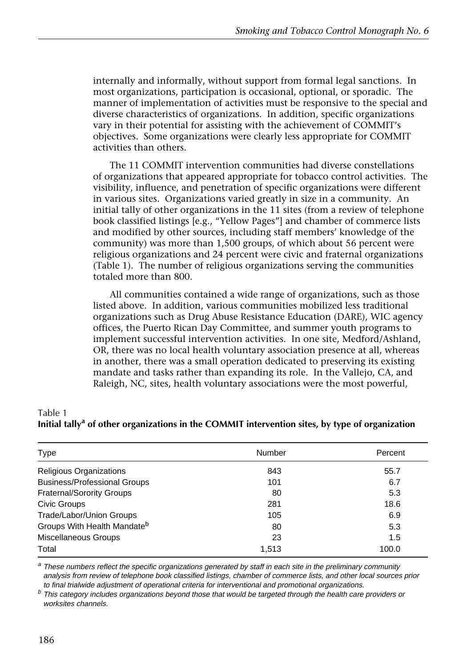internally and informally, without support from formal legal sanctions. In most organizations, participation is occasional, optional, or sporadic. The manner of implementation of activities must be responsive to the special and diverse characteristics of organizations. In addition, specific organizations vary in their potential for assisting with the achievement of COMMIT's objectives. Some organizations were clearly less appropriate for COMMIT activities than others.

The 11 COMMIT intervention communities had diverse constellations of organizations that appeared appropriate for tobacco control activities. The visibility, influence, and penetration of specific organizations were different in various sites. Organizations varied greatly in size in a community. An initial tally of other organizations in the 11 sites (from a review of telephone book classified listings [e.g., "Yellow Pages"] and chamber of commerce lists and modified by other sources, including staff members' knowledge of the community) was more than 1,500 groups, of which about 56 percent were religious organizations and 24 percent were civic and fraternal organizations (Table 1). The number of religious organizations serving the communities totaled more than 800.

All communities contained a wide range of organizations, such as those listed above. In addition, various communities mobilized less traditional organizations such as Drug Abuse Resistance Education (DARE), WIC agency offices, the Puerto Rican Day Committee, and summer youth programs to implement successful intervention activities. In one site, Medford/Ashland, OR, there was no local health voluntary association presence at all, whereas in another, there was a small operation dedicated to preserving its existing mandate and tasks rather than expanding its role. In the Vallejo, CA, and Raleigh, NC, sites, health voluntary associations were the most powerful,

| Type                                    | Number | Percent |  |
|-----------------------------------------|--------|---------|--|
| Religious Organizations                 | 843    | 55.7    |  |
| <b>Business/Professional Groups</b>     | 101    | 6.7     |  |
| <b>Fraternal/Sorority Groups</b>        | 80     | 5.3     |  |
| Civic Groups                            | 281    | 18.6    |  |
| Trade/Labor/Union Groups                | 105    | 6.9     |  |
| Groups With Health Mandate <sup>b</sup> | 80     | 5.3     |  |
| Miscellaneous Groups                    | 23     | 1.5     |  |
| Total                                   | 1,513  | 100.0   |  |

## Table 1 Initial tally<sup>a</sup> of other organizations in the COMMIT intervention sites, by type of organization

<sup>a</sup> These numbers reflect the specific organizations generated by staff in each site in the preliminary community analysis from review of telephone book classified listings, chamber of commerce lists, and other local sources prior to final trialwide adjustment of operational criteria for interventional and promotional organizations.

 $<sup>b</sup>$  This category includes organizations beyond those that would be targeted through the health care providers or</sup> worksites channels.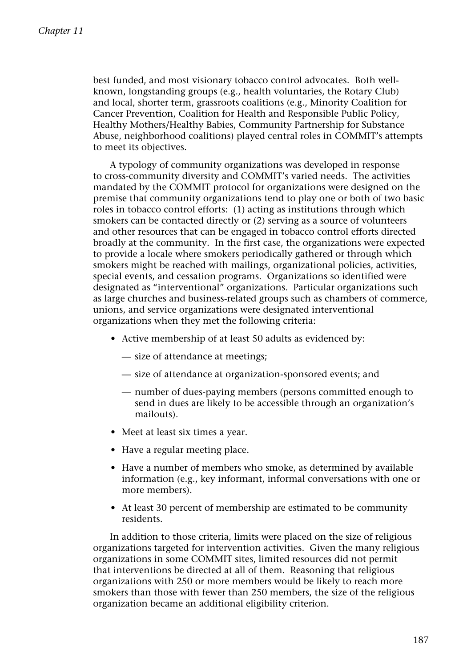best funded, and most visionary tobacco control advocates. Both wellknown, longstanding groups (e.g., health voluntaries, the Rotary Club) and local, shorter term, grassroots coalitions (e.g., Minority Coalition for Cancer Prevention, Coalition for Health and Responsible Public Policy, Healthy Mothers/Healthy Babies, Community Partnership for Substance Abuse, neighborhood coalitions) played central roles in COMMIT's attempts to meet its objectives.

A typology of community organizations was developed in response to cross-community diversity and COMMIT's varied needs. The activities mandated by the COMMIT protocol for organizations were designed on the premise that community organizations tend to play one or both of two basic roles in tobacco control efforts: (1) acting as institutions through which smokers can be contacted directly or (2) serving as a source of volunteers and other resources that can be engaged in tobacco control efforts directed broadly at the community. In the first case, the organizations were expected to provide a locale where smokers periodically gathered or through which smokers might be reached with mailings, organizational policies, activities, special events, and cessation programs. Organizations so identified were designated as "interventional" organizations. Particular organizations such as large churches and business-related groups such as chambers of commerce, unions, and service organizations were designated interventional organizations when they met the following criteria:

- Active membership of at least 50 adults as evidenced by:
	- size of attendance at meetings;
	- size of attendance at organization-sponsored events; and
	- number of dues-paying members (persons committed enough to send in dues are likely to be accessible through an organization's mailouts).
- Meet at least six times a year.
- Have a regular meeting place.
- Have a number of members who smoke, as determined by available information (e.g., key informant, informal conversations with one or more members).
- At least 30 percent of membership are estimated to be community residents.

In addition to those criteria, limits were placed on the size of religious organizations targeted for intervention activities. Given the many religious organizations in some COMMIT sites, limited resources did not permit that interventions be directed at all of them. Reasoning that religious organizations with 250 or more members would be likely to reach more smokers than those with fewer than 250 members, the size of the religious organization became an additional eligibility criterion.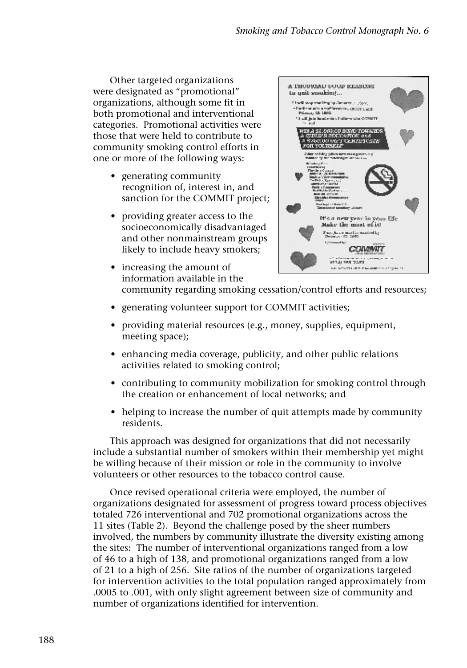Other targeted organizations were designated as "promotional" organizations, although some fit in both promotional and interventional categories. Promotional activities were those that were held to contribute to community smoking control efforts in one or more of the following ways:

- generating community recognition of, interest in, and sanction for the COMMIT project;
- providing greater access to the socioeconomically disadvantaged and other nonmainstream groups likely to include heavy smokers;

• increasing the amount of



- information available in the community regarding smoking cessation/control efforts and resources;
- generating volunteer support for COMMIT activities;
- providing material resources (e.g., money, supplies, equipment, meeting space);
- enhancing media coverage, publicity, and other public relations activities related to smoking control;
- contributing to community mobilization for smoking control through the creation or enhancement of local networks; and
- helping to increase the number of quit attempts made by community residents.

This approach was designed for organizations that did not necessarily include a substantial number of smokers within their membership yet might be willing because of their mission or role in the community to involve volunteers or other resources to the tobacco control cause.

Once revised operational criteria were employed, the number of organizations designated for assessment of progress toward process objectives totaled 726 interventional and 702 promotional organizations across the 11 sites (Table 2). Beyond the challenge posed by the sheer numbers involved, the numbers by community illustrate the diversity existing among the sites: The number of interventional organizations ranged from a low of 46 to a high of 138, and promotional organizations ranged from a low of 21 to a high of 256. Site ratios of the number of organizations targeted for intervention activities to the total population ranged approximately from .0005 to .001, with only slight agreement between size of community and number of organizations identified for intervention.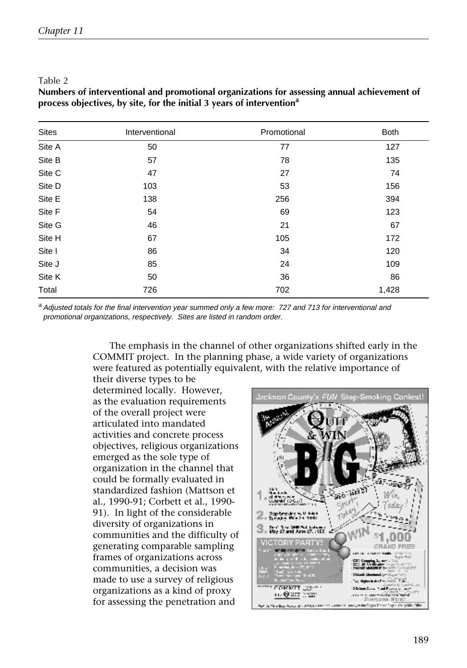### Table 2

**Numbers of interventional and promotional organizations for assessing annual achievement of process objectives, by site, for the initial 3 years of interventiona**

| <b>Sites</b> | Interventional | Promotional | <b>Both</b> |
|--------------|----------------|-------------|-------------|
| Site A       | 50             | 77          | 127         |
| Site B       | 57             | 78          | 135         |
| Site C       | 47             | 27          | 74          |
| Site D       | 103            | 53          | 156         |
| Site E       | 138            | 256         | 394         |
| Site F       | 54             | 69          | 123         |
| Site G       | 46             | 21          | 67          |
| Site H       | 67             | 105         | 172         |
| Site I       | 86             | 34          | 120         |
| Site J       | 85             | 24          | 109         |
| Site K       | 50             | 36          | 86          |
| Total        | 726            | 702         | 1,428       |

a Adjusted totals for the final intervention year summed only a few more: 727 and 713 for interventional and promotional organizations, respectively. Sites are listed in random order.

> The emphasis in the channel of other organizations shifted early in the COMMIT project. In the planning phase, a wide variety of organizations were featured as potentially equivalent, with the relative importance of

their diverse types to be determined locally. However, as the evaluation requirements of the overall project were articulated into mandated activities and concrete process objectives, religious organizations emerged as the sole type of organization in the channel that could be formally evaluated in standardized fashion (Mattson et al., 1990-91; Corbett et al., 1990- 91). In light of the considerable diversity of organizations in communities and the difficulty of generating comparable sampling frames of organizations across communities, a decision was made to use a survey of religious organizations as a kind of proxy for assessing the penetration and

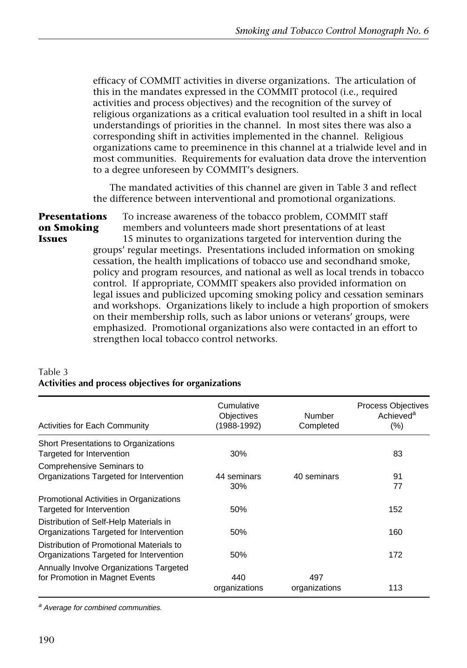efficacy of COMMIT activities in diverse organizations. The articulation of this in the mandates expressed in the COMMIT protocol (i.e., required activities and process objectives) and the recognition of the survey of religious organizations as a critical evaluation tool resulted in a shift in local understandings of priorities in the channel. In most sites there was also a corresponding shift in activities implemented in the channel. Religious organizations came to preeminence in this channel at a trialwide level and in most communities. Requirements for evaluation data drove the intervention to a degree unforeseen by COMMIT's designers.

The mandated activities of this channel are given in Table 3 and reflect the difference between interventional and promotional organizations.

**Presentations** To increase awareness of the tobacco problem, COMMIT staff **on Smoking** members and volunteers made short presentations of at least **Issues** 15 minutes to organizations targeted for intervention during the groups' regular meetings. Presentations included information on smoking cessation, the health implications of tobacco use and secondhand smoke, policy and program resources, and national as well as local trends in tobacco control. If appropriate, COMMIT speakers also provided information on legal issues and publicized upcoming smoking policy and cessation seminars and workshops. Organizations likely to include a high proportion of smokers on their membership rolls, such as labor unions or veterans' groups, were emphasized. Promotional organizations also were contacted in an effort to strengthen local tobacco control networks.

## Table 3 **Activities and process objectives for organizations**

| <b>Activities for Each Community</b>                                                | Cumulative<br>Objectives<br>(1988-1992) | Number<br>Completed  | Process Objectives<br>Achieved <sup>a</sup><br>(% ) |
|-------------------------------------------------------------------------------------|-----------------------------------------|----------------------|-----------------------------------------------------|
| Short Presentations to Organizations<br>Targeted for Intervention                   | 30%                                     |                      | 83                                                  |
| Comprehensive Seminars to<br>Organizations Targeted for Intervention                | 44 seminars<br>30%                      | 40 seminars          | 91<br>77                                            |
| Promotional Activities in Organizations<br>Targeted for Intervention                | 50%                                     |                      | 152                                                 |
| Distribution of Self-Help Materials in<br>Organizations Targeted for Intervention   | 50%                                     |                      | 160                                                 |
| Distribution of Promotional Materials to<br>Organizations Targeted for Intervention | 50%                                     |                      | 172                                                 |
| Annually Involve Organizations Targeted<br>for Promotion in Magnet Events           | 440<br>organizations                    | 497<br>organizations | 113                                                 |

a Average for combined communities.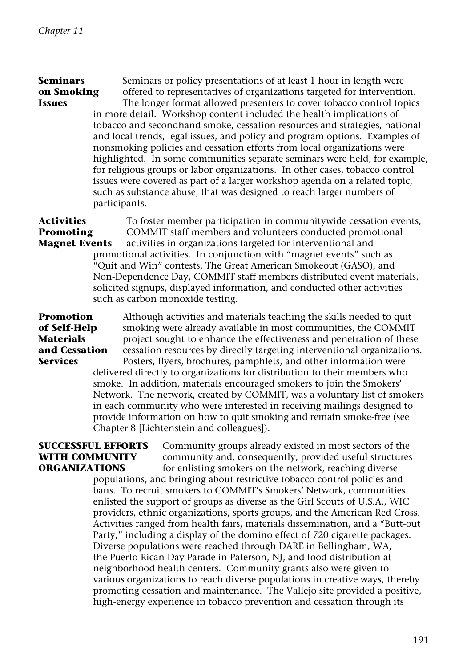**Seminars** Seminars or policy presentations of at least 1 hour in length were **on Smoking** offered to representatives of organizations targeted for intervention. **Issues** The longer format allowed presenters to cover tobacco control topics in more detail. Workshop content included the health implications of tobacco and secondhand smoke, cessation resources and strategies, national and local trends, legal issues, and policy and program options. Examples of nonsmoking policies and cessation efforts from local organizations were highlighted. In some communities separate seminars were held, for example, for religious groups or labor organizations. In other cases, tobacco control issues were covered as part of a larger workshop agenda on a related topic, such as substance abuse, that was designed to reach larger numbers of participants.

**Activities** To foster member participation in communitywide cessation events, **Promoting** COMMIT staff members and volunteers conducted promotional **Magnet Events** activities in organizations targeted for interventional and promotional activities. In conjunction with "magnet events" such as "Quit and Win" contests, The Great American Smokeout (GASO), and Non-Dependence Day, COMMIT staff members distributed event materials, solicited signups, displayed information, and conducted other activities such as carbon monoxide testing.

**Promotion** Although activities and materials teaching the skills needed to quit **of Self-Help** smoking were already available in most communities, the COMMIT **Materials** project sought to enhance the effectiveness and penetration of these **and Cessation** cessation resources by directly targeting interventional organizations. **Services** Posters, flyers, brochures, pamphlets, and other information were delivered directly to organizations for distribution to their members who smoke. In addition, materials encouraged smokers to join the Smokers' Network. The network, created by COMMIT, was a voluntary list of smokers in each community who were interested in receiving mailings designed to provide information on how to quit smoking and remain smoke-free (see Chapter 8 [Lichtenstein and colleagues]).

**SUCCESSFUL EFFORTS** Community groups already existed in most sectors of the **WITH COMMUNITY** community and, consequently, provided useful structures **ORGANIZATIONS** for enlisting smokers on the network, reaching diverse populations, and bringing about restrictive tobacco control policies and bans. To recruit smokers to COMMIT's Smokers' Network, communities enlisted the support of groups as diverse as the Girl Scouts of U.S.A., WIC providers, ethnic organizations, sports groups, and the American Red Cross. Activities ranged from health fairs, materials dissemination, and a "Butt-out Party," including a display of the domino effect of 720 cigarette packages. Diverse populations were reached through DARE in Bellingham, WA, the Puerto Rican Day Parade in Paterson, NJ, and food distribution at neighborhood health centers. Community grants also were given to various organizations to reach diverse populations in creative ways, thereby promoting cessation and maintenance. The Vallejo site provided a positive, high-energy experience in tobacco prevention and cessation through its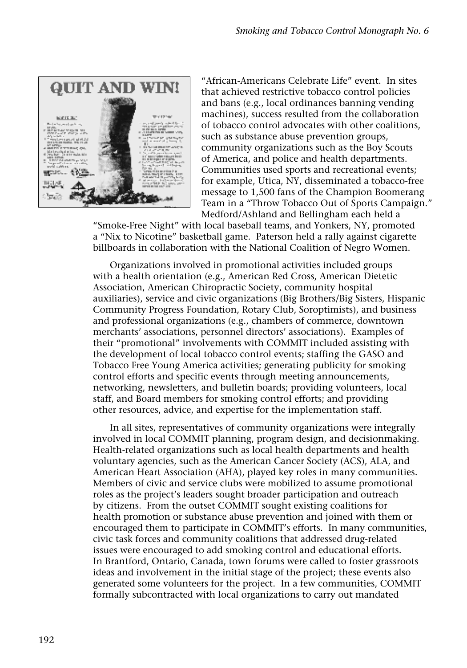

"African-Americans Celebrate Life" event. In sites that achieved restrictive tobacco control policies and bans (e.g., local ordinances banning vending machines), success resulted from the collaboration of tobacco control advocates with other coalitions, such as substance abuse prevention groups, community organizations such as the Boy Scouts of America, and police and health departments. Communities used sports and recreational events; for example, Utica, NY, disseminated a tobacco-free message to 1,500 fans of the Champion Boomerang Team in a "Throw Tobacco Out of Sports Campaign." Medford/Ashland and Bellingham each held a

"Smoke-Free Night" with local baseball teams, and Yonkers, NY, promoted a "Nix to Nicotine" basketball game. Paterson held a rally against cigarette billboards in collaboration with the National Coalition of Negro Women.

Organizations involved in promotional activities included groups with a health orientation (e.g., American Red Cross, American Dietetic Association, American Chiropractic Society, community hospital auxiliaries), service and civic organizations (Big Brothers/Big Sisters, Hispanic Community Progress Foundation, Rotary Club, Soroptimists), and business and professional organizations (e.g., chambers of commerce, downtown merchants' associations, personnel directors' associations). Examples of their "promotional" involvements with COMMIT included assisting with the development of local tobacco control events; staffing the GASO and Tobacco Free Young America activities; generating publicity for smoking control efforts and specific events through meeting announcements, networking, newsletters, and bulletin boards; providing volunteers, local staff, and Board members for smoking control efforts; and providing other resources, advice, and expertise for the implementation staff.

In all sites, representatives of community organizations were integrally involved in local COMMIT planning, program design, and decisionmaking. Health-related organizations such as local health departments and health voluntary agencies, such as the American Cancer Society (ACS), ALA, and American Heart Association (AHA), played key roles in many communities. Members of civic and service clubs were mobilized to assume promotional roles as the project's leaders sought broader participation and outreach by citizens. From the outset COMMIT sought existing coalitions for health promotion or substance abuse prevention and joined with them or encouraged them to participate in COMMIT's efforts. In many communities, civic task forces and community coalitions that addressed drug-related issues were encouraged to add smoking control and educational efforts. In Brantford, Ontario, Canada, town forums were called to foster grassroots ideas and involvement in the initial stage of the project; these events also generated some volunteers for the project. In a few communities, COMMIT formally subcontracted with local organizations to carry out mandated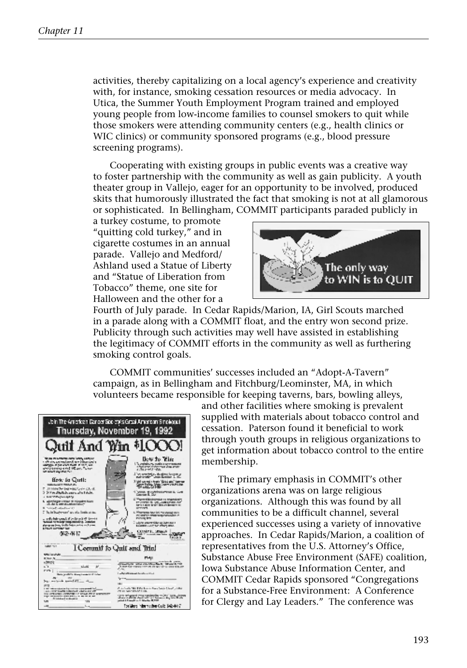activities, thereby capitalizing on a local agency's experience and creativity with, for instance, smoking cessation resources or media advocacy. In Utica, the Summer Youth Employment Program trained and employed young people from low-income families to counsel smokers to quit while those smokers were attending community centers (e.g., health clinics or WIC clinics) or community sponsored programs (e.g., blood pressure screening programs).

Cooperating with existing groups in public events was a creative way to foster partnership with the community as well as gain publicity. A youth theater group in Vallejo, eager for an opportunity to be involved, produced skits that humorously illustrated the fact that smoking is not at all glamorous or sophisticated. In Bellingham, COMMIT participants paraded publicly in

a turkey costume, to promote "quitting cold turkey," and in cigarette costumes in an annual parade. Vallejo and Medford/ Ashland used a Statue of Liberty and "Statue of Liberation from Tobacco" theme, one site for Halloween and the other for a



Fourth of July parade. In Cedar Rapids/Marion, IA, Girl Scouts marched in a parade along with a COMMIT float, and the entry won second prize. Publicity through such activities may well have assisted in establishing the legitimacy of COMMIT efforts in the community as well as furthering smoking control goals.

COMMIT communities' successes included an "Adopt-A-Tavern" campaign, as in Bellingham and Fitchburg/Leominster, MA, in which volunteers became responsible for keeping taverns, bars, bowling alleys,



and other facilities where smoking is prevalent supplied with materials about tobacco control and cessation. Paterson found it beneficial to work through youth groups in religious organizations to get information about tobacco control to the entire membership.

The primary emphasis in COMMIT's other organizations arena was on large religious organizations. Although this was found by all communities to be a difficult channel, several experienced successes using a variety of innovative approaches. In Cedar Rapids/Marion, a coalition of representatives from the U.S. Attorney's Office, Substance Abuse Free Environment (SAFE) coalition, Iowa Substance Abuse Information Center, and COMMIT Cedar Rapids sponsored "Congregations for a Substance-Free Environment: A Conference for Clergy and Lay Leaders." The conference was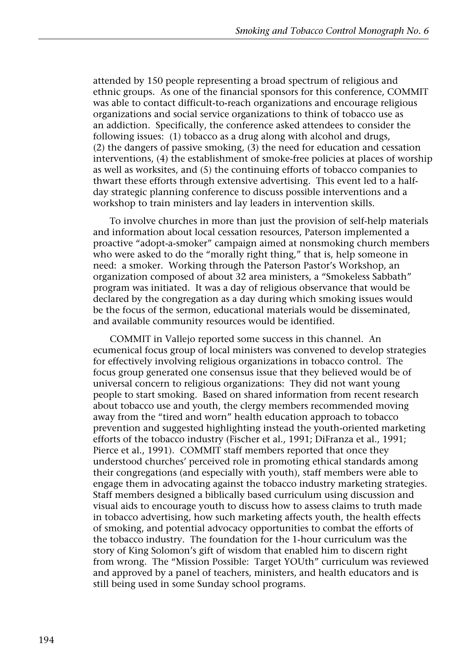attended by 150 people representing a broad spectrum of religious and ethnic groups. As one of the financial sponsors for this conference, COMMIT was able to contact difficult-to-reach organizations and encourage religious organizations and social service organizations to think of tobacco use as an addiction. Specifically, the conference asked attendees to consider the following issues: (1) tobacco as a drug along with alcohol and drugs, (2) the dangers of passive smoking, (3) the need for education and cessation interventions, (4) the establishment of smoke-free policies at places of worship as well as worksites, and (5) the continuing efforts of tobacco companies to thwart these efforts through extensive advertising. This event led to a halfday strategic planning conference to discuss possible interventions and a workshop to train ministers and lay leaders in intervention skills.

To involve churches in more than just the provision of self-help materials and information about local cessation resources, Paterson implemented a proactive "adopt-a-smoker" campaign aimed at nonsmoking church members who were asked to do the "morally right thing," that is, help someone in need: a smoker. Working through the Paterson Pastor's Workshop, an organization composed of about 32 area ministers, a "Smokeless Sabbath" program was initiated. It was a day of religious observance that would be declared by the congregation as a day during which smoking issues would be the focus of the sermon, educational materials would be disseminated, and available community resources would be identified.

COMMIT in Vallejo reported some success in this channel. An ecumenical focus group of local ministers was convened to develop strategies for effectively involving religious organizations in tobacco control. The focus group generated one consensus issue that they believed would be of universal concern to religious organizations: They did not want young people to start smoking. Based on shared information from recent research about tobacco use and youth, the clergy members recommended moving away from the "tired and worn" health education approach to tobacco prevention and suggested highlighting instead the youth-oriented marketing efforts of the tobacco industry (Fischer et al., 1991; DiFranza et al., 1991; Pierce et al., 1991). COMMIT staff members reported that once they understood churches' perceived role in promoting ethical standards among their congregations (and especially with youth), staff members were able to engage them in advocating against the tobacco industry marketing strategies. Staff members designed a biblically based curriculum using discussion and visual aids to encourage youth to discuss how to assess claims to truth made in tobacco advertising, how such marketing affects youth, the health effects of smoking, and potential advocacy opportunities to combat the efforts of the tobacco industry. The foundation for the 1-hour curriculum was the story of King Solomon's gift of wisdom that enabled him to discern right from wrong. The "Mission Possible: Target YOUth" curriculum was reviewed and approved by a panel of teachers, ministers, and health educators and is still being used in some Sunday school programs.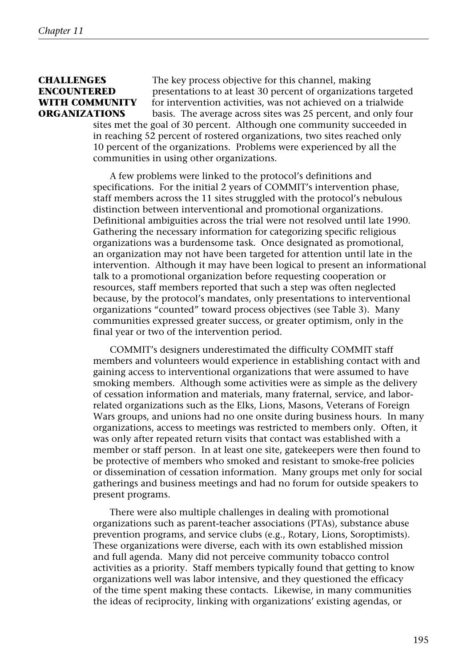**CHALLENGES** The key process objective for this channel, making **ENCOUNTERED** presentations to at least 30 percent of organizations targeted **WITH COMMUNITY** for intervention activities, was not achieved on a trialwide **ORGANIZATIONS** basis. The average across sites was 25 percent, and only four

sites met the goal of 30 percent. Although one community succeeded in in reaching 52 percent of rostered organizations, two sites reached only 10 percent of the organizations. Problems were experienced by all the communities in using other organizations.

A few problems were linked to the protocol's definitions and specifications. For the initial 2 years of COMMIT's intervention phase, staff members across the 11 sites struggled with the protocol's nebulous distinction between interventional and promotional organizations. Definitional ambiguities across the trial were not resolved until late 1990. Gathering the necessary information for categorizing specific religious organizations was a burdensome task. Once designated as promotional, an organization may not have been targeted for attention until late in the intervention. Although it may have been logical to present an informational talk to a promotional organization before requesting cooperation or resources, staff members reported that such a step was often neglected because, by the protocol's mandates, only presentations to interventional organizations "counted" toward process objectives (see Table 3). Many communities expressed greater success, or greater optimism, only in the final year or two of the intervention period.

COMMIT's designers underestimated the difficulty COMMIT staff members and volunteers would experience in establishing contact with and gaining access to interventional organizations that were assumed to have smoking members. Although some activities were as simple as the delivery of cessation information and materials, many fraternal, service, and laborrelated organizations such as the Elks, Lions, Masons, Veterans of Foreign Wars groups, and unions had no one onsite during business hours. In many organizations, access to meetings was restricted to members only. Often, it was only after repeated return visits that contact was established with a member or staff person. In at least one site, gatekeepers were then found to be protective of members who smoked and resistant to smoke-free policies or dissemination of cessation information. Many groups met only for social gatherings and business meetings and had no forum for outside speakers to present programs.

There were also multiple challenges in dealing with promotional organizations such as parent-teacher associations (PTAs), substance abuse prevention programs, and service clubs (e.g., Rotary, Lions, Soroptimists). These organizations were diverse, each with its own established mission and full agenda. Many did not perceive community tobacco control activities as a priority. Staff members typically found that getting to know organizations well was labor intensive, and they questioned the efficacy of the time spent making these contacts. Likewise, in many communities the ideas of reciprocity, linking with organizations' existing agendas, or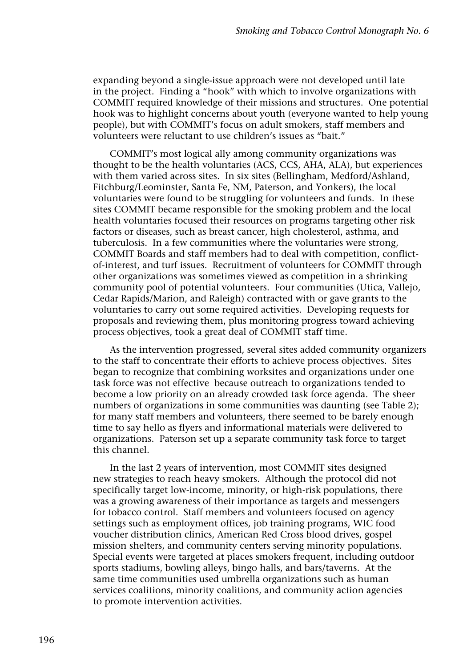expanding beyond a single-issue approach were not developed until late in the project. Finding a "hook" with which to involve organizations with COMMIT required knowledge of their missions and structures. One potential hook was to highlight concerns about youth (everyone wanted to help young people), but with COMMIT's focus on adult smokers, staff members and volunteers were reluctant to use children's issues as "bait."

COMMIT's most logical ally among community organizations was thought to be the health voluntaries (ACS, CCS, AHA, ALA), but experiences with them varied across sites. In six sites (Bellingham, Medford/Ashland, Fitchburg/Leominster, Santa Fe, NM, Paterson, and Yonkers), the local voluntaries were found to be struggling for volunteers and funds. In these sites COMMIT became responsible for the smoking problem and the local health voluntaries focused their resources on programs targeting other risk factors or diseases, such as breast cancer, high cholesterol, asthma, and tuberculosis. In a few communities where the voluntaries were strong, COMMIT Boards and staff members had to deal with competition, conflictof-interest, and turf issues. Recruitment of volunteers for COMMIT through other organizations was sometimes viewed as competition in a shrinking community pool of potential volunteers. Four communities (Utica, Vallejo, Cedar Rapids/Marion, and Raleigh) contracted with or gave grants to the voluntaries to carry out some required activities. Developing requests for proposals and reviewing them, plus monitoring progress toward achieving process objectives, took a great deal of COMMIT staff time.

As the intervention progressed, several sites added community organizers to the staff to concentrate their efforts to achieve process objectives. Sites began to recognize that combining worksites and organizations under one task force was not effective because outreach to organizations tended to become a low priority on an already crowded task force agenda. The sheer numbers of organizations in some communities was daunting (see Table 2); for many staff members and volunteers, there seemed to be barely enough time to say hello as flyers and informational materials were delivered to organizations. Paterson set up a separate community task force to target this channel.

In the last 2 years of intervention, most COMMIT sites designed new strategies to reach heavy smokers. Although the protocol did not specifically target low-income, minority, or high-risk populations, there was a growing awareness of their importance as targets and messengers for tobacco control. Staff members and volunteers focused on agency settings such as employment offices, job training programs, WIC food voucher distribution clinics, American Red Cross blood drives, gospel mission shelters, and community centers serving minority populations. Special events were targeted at places smokers frequent, including outdoor sports stadiums, bowling alleys, bingo halls, and bars/taverns. At the same time communities used umbrella organizations such as human services coalitions, minority coalitions, and community action agencies to promote intervention activities.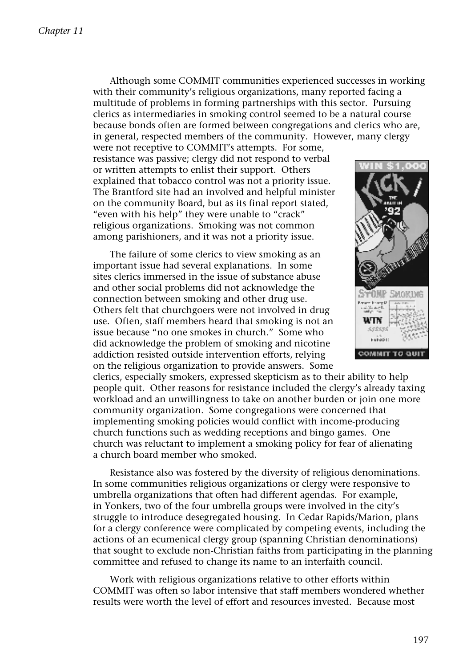Although some COMMIT communities experienced successes in working with their community's religious organizations, many reported facing a multitude of problems in forming partnerships with this sector. Pursuing clerics as intermediaries in smoking control seemed to be a natural course because bonds often are formed between congregations and clerics who are, in general, respected members of the community. However, many clergy

were not receptive to COMMIT's attempts. For some, resistance was passive; clergy did not respond to verbal or written attempts to enlist their support. Others explained that tobacco control was not a priority issue. The Brantford site had an involved and helpful minister on the community Board, but as its final report stated, "even with his help" they were unable to "crack" religious organizations. Smoking was not common among parishioners, and it was not a priority issue.

The failure of some clerics to view smoking as an important issue had several explanations. In some sites clerics immersed in the issue of substance abuse and other social problems did not acknowledge the connection between smoking and other drug use. Others felt that churchgoers were not involved in drug use. Often, staff members heard that smoking is not an issue because "no one smokes in church." Some who did acknowledge the problem of smoking and nicotine addiction resisted outside intervention efforts, relying on the religious organization to provide answers. Some

clerics, especially smokers, expressed skepticism as to their ability to help people quit. Other reasons for resistance included the clergy's already taxing workload and an unwillingness to take on another burden or join one more community organization. Some congregations were concerned that implementing smoking policies would conflict with income-producing church functions such as wedding receptions and bingo games. One church was reluctant to implement a smoking policy for fear of alienating a church board member who smoked.

Resistance also was fostered by the diversity of religious denominations. In some communities religious organizations or clergy were responsive to umbrella organizations that often had different agendas. For example, in Yonkers, two of the four umbrella groups were involved in the city's struggle to introduce desegregated housing. In Cedar Rapids/Marion, plans for a clergy conference were complicated by competing events, including the actions of an ecumenical clergy group (spanning Christian denominations) that sought to exclude non-Christian faiths from participating in the planning committee and refused to change its name to an interfaith council.

Work with religious organizations relative to other efforts within COMMIT was often so labor intensive that staff members wondered whether results were worth the level of effort and resources invested. Because most

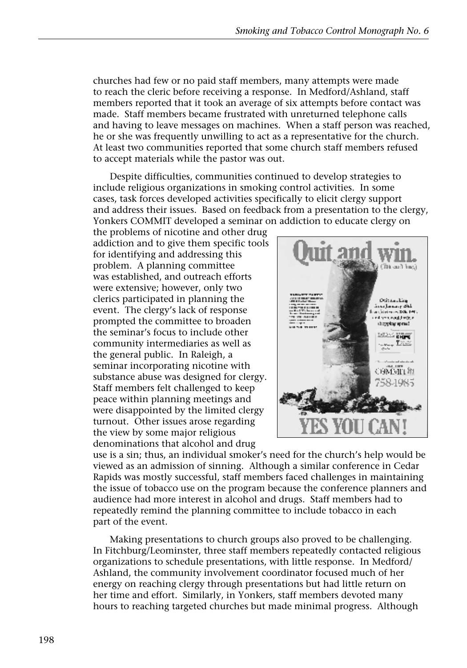churches had few or no paid staff members, many attempts were made to reach the cleric before receiving a response. In Medford/Ashland, staff members reported that it took an average of six attempts before contact was made. Staff members became frustrated with unreturned telephone calls and having to leave messages on machines. When a staff person was reached, he or she was frequently unwilling to act as a representative for the church. At least two communities reported that some church staff members refused to accept materials while the pastor was out.

Despite difficulties, communities continued to develop strategies to include religious organizations in smoking control activities. In some cases, task forces developed activities specifically to elicit clergy support and address their issues. Based on feedback from a presentation to the clergy, Yonkers COMMIT developed a seminar on addiction to educate clergy on

the problems of nicotine and other drug addiction and to give them specific tools for identifying and addressing this problem. A planning committee was established, and outreach efforts were extensive; however, only two clerics participated in planning the event. The clergy's lack of response prompted the committee to broaden the seminar's focus to include other community intermediaries as well as the general public. In Raleigh, a seminar incorporating nicotine with substance abuse was designed for clergy. Staff members felt challenged to keep peace within planning meetings and were disappointed by the limited clergy turnout. Other issues arose regarding the view by some major religious denominations that alcohol and drug



use is a sin; thus, an individual smoker's need for the church's help would be viewed as an admission of sinning. Although a similar conference in Cedar Rapids was mostly successful, staff members faced challenges in maintaining the issue of tobacco use on the program because the conference planners and audience had more interest in alcohol and drugs. Staff members had to repeatedly remind the planning committee to include tobacco in each part of the event.

Making presentations to church groups also proved to be challenging. In Fitchburg/Leominster, three staff members repeatedly contacted religious organizations to schedule presentations, with little response. In Medford/ Ashland, the community involvement coordinator focused much of her energy on reaching clergy through presentations but had little return on her time and effort. Similarly, in Yonkers, staff members devoted many hours to reaching targeted churches but made minimal progress. Although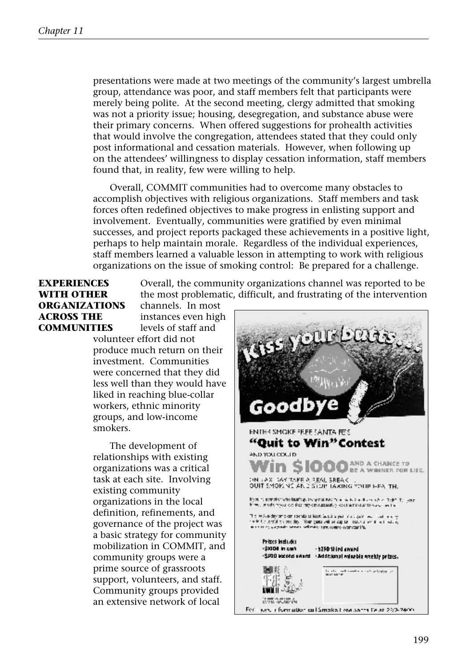presentations were made at two meetings of the community's largest umbrella group, attendance was poor, and staff members felt that participants were merely being polite. At the second meeting, clergy admitted that smoking was not a priority issue; housing, desegregation, and substance abuse were their primary concerns. When offered suggestions for prohealth activities that would involve the congregation, attendees stated that they could only post informational and cessation materials. However, when following up on the attendees' willingness to display cessation information, staff members found that, in reality, few were willing to help.

Overall, COMMIT communities had to overcome many obstacles to accomplish objectives with religious organizations. Staff members and task forces often redefined objectives to make progress in enlisting support and involvement. Eventually, communities were gratified by even minimal successes, and project reports packaged these achievements in a positive light, perhaps to help maintain morale. Regardless of the individual experiences, staff members learned a valuable lesson in attempting to work with religious organizations on the issue of smoking control: Be prepared for a challenge.

# **ORGANIZATIONS** channels. In most **ACROSS THE** instances even high

**EXPERIENCES** Overall, the community organizations channel was reported to be **WITH OTHER** the most problematic, difficult, and frustrating of the intervention

**COMMUNITIES** levels of staff and volunteer effort did not produce much return on their investment. Communities were concerned that they did less well than they would have liked in reaching blue-collar workers, ethnic minority groups, and low-income smokers.

> The development of relationships with existing organizations was a critical task at each site. Involving existing community organizations in the local definition, refinements, and governance of the project was a basic strategy for community mobilization in COMMIT, and community groups were a prime source of grassroots support, volunteers, and staff. Community groups provided an extensive network of local

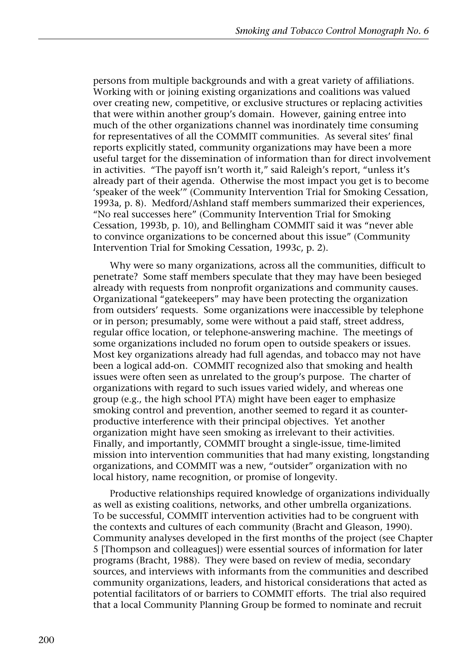persons from multiple backgrounds and with a great variety of affiliations. Working with or joining existing organizations and coalitions was valued over creating new, competitive, or exclusive structures or replacing activities that were within another group's domain. However, gaining entree into much of the other organizations channel was inordinately time consuming for representatives of all the COMMIT communities. As several sites' final reports explicitly stated, community organizations may have been a more useful target for the dissemination of information than for direct involvement in activities. "The payoff isn't worth it," said Raleigh's report, "unless it's already part of their agenda. Otherwise the most impact you get is to become 'speaker of the week'" (Community Intervention Trial for Smoking Cessation, 1993a, p. 8). Medford/Ashland staff members summarized their experiences, "No real successes here" (Community Intervention Trial for Smoking Cessation, 1993b, p. 10), and Bellingham COMMIT said it was "never able to convince organizations to be concerned about this issue" (Community Intervention Trial for Smoking Cessation, 1993c, p. 2).

Why were so many organizations, across all the communities, difficult to penetrate? Some staff members speculate that they may have been besieged already with requests from nonprofit organizations and community causes. Organizational "gatekeepers" may have been protecting the organization from outsiders' requests. Some organizations were inaccessible by telephone or in person; presumably, some were without a paid staff, street address, regular office location, or telephone-answering machine. The meetings of some organizations included no forum open to outside speakers or issues. Most key organizations already had full agendas, and tobacco may not have been a logical add-on. COMMIT recognized also that smoking and health issues were often seen as unrelated to the group's purpose. The charter of organizations with regard to such issues varied widely, and whereas one group (e.g., the high school PTA) might have been eager to emphasize smoking control and prevention, another seemed to regard it as counterproductive interference with their principal objectives. Yet another organization might have seen smoking as irrelevant to their activities. Finally, and importantly, COMMIT brought a single-issue, time-limited mission into intervention communities that had many existing, longstanding organizations, and COMMIT was a new, "outsider" organization with no local history, name recognition, or promise of longevity.

Productive relationships required knowledge of organizations individually as well as existing coalitions, networks, and other umbrella organizations. To be successful, COMMIT intervention activities had to be congruent with the contexts and cultures of each community (Bracht and Gleason, 1990). Community analyses developed in the first months of the project (see Chapter 5 [Thompson and colleagues]) were essential sources of information for later programs (Bracht, 1988). They were based on review of media, secondary sources, and interviews with informants from the communities and described community organizations, leaders, and historical considerations that acted as potential facilitators of or barriers to COMMIT efforts. The trial also required that a local Community Planning Group be formed to nominate and recruit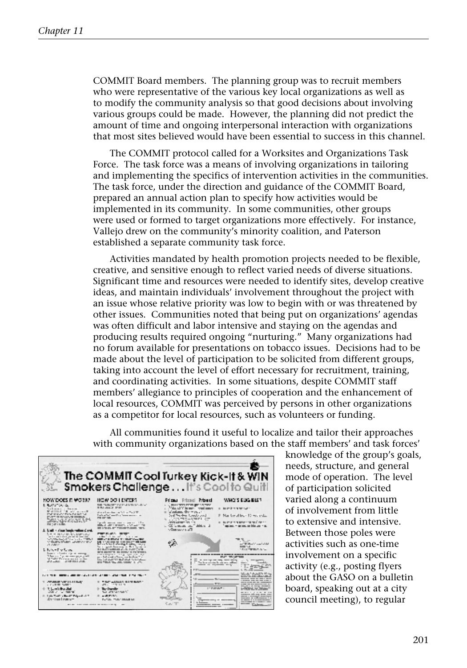COMMIT Board members. The planning group was to recruit members who were representative of the various key local organizations as well as to modify the community analysis so that good decisions about involving various groups could be made. However, the planning did not predict the amount of time and ongoing interpersonal interaction with organizations that most sites believed would have been essential to success in this channel.

The COMMIT protocol called for a Worksites and Organizations Task Force. The task force was a means of involving organizations in tailoring and implementing the specifics of intervention activities in the communities. The task force, under the direction and guidance of the COMMIT Board, prepared an annual action plan to specify how activities would be implemented in its community. In some communities, other groups were used or formed to target organizations more effectively. For instance, Vallejo drew on the community's minority coalition, and Paterson established a separate community task force.

Activities mandated by health promotion projects needed to be flexible, creative, and sensitive enough to reflect varied needs of diverse situations. Significant time and resources were needed to identify sites, develop creative ideas, and maintain individuals' involvement throughout the project with an issue whose relative priority was low to begin with or was threatened by other issues. Communities noted that being put on organizations' agendas was often difficult and labor intensive and staying on the agendas and producing results required ongoing "nurturing." Many organizations had no forum available for presentations on tobacco issues. Decisions had to be made about the level of participation to be solicited from different groups, taking into account the level of effort necessary for recruitment, training, and coordinating activities. In some situations, despite COMMIT staff members' allegiance to principles of cooperation and the enhancement of local resources, COMMIT was perceived by persons in other organizations as a competitor for local resources, such as volunteers or funding.

All communities found it useful to localize and tailor their approaches with community organizations based on the staff members' and task forces'

|                                                                                                                                                                                                                                                                                                                                                                                                                                                                                                                                                    |                                                                                                                                                                                                                                                                                                                                                                                                                                                                                                                                                                                                                                                                                                 | The COMMIT Cool Turkey Kick-It & WIN<br>Smokers Challenge It's Cool to Quitl                                                                                                                                                                                                                                                         |                                                                                                                                                                                                                                        |
|----------------------------------------------------------------------------------------------------------------------------------------------------------------------------------------------------------------------------------------------------------------------------------------------------------------------------------------------------------------------------------------------------------------------------------------------------------------------------------------------------------------------------------------------------|-------------------------------------------------------------------------------------------------------------------------------------------------------------------------------------------------------------------------------------------------------------------------------------------------------------------------------------------------------------------------------------------------------------------------------------------------------------------------------------------------------------------------------------------------------------------------------------------------------------------------------------------------------------------------------------------------|--------------------------------------------------------------------------------------------------------------------------------------------------------------------------------------------------------------------------------------------------------------------------------------------------------------------------------------|----------------------------------------------------------------------------------------------------------------------------------------------------------------------------------------------------------------------------------------|
| HOW DOES IT WORR?<br>L. Bull (COV) de<br>a los costo<br>Middleball 2.0 million and<br>PSP RSL AS PUS PAINTSL<br><b>SE BUILDING OF STORAGE</b><br>52.022225.17<br>manuel a silla.<br>A. Mail is show bushered by Card.<br>Let a long to the subsequent that<br>I can a serie that you have the country series<br>whether had all for the line matters<br>se de any of start, un any of the<br>JE ABAS<br>しんちゃくしゃ<br>home a chanks she as success<br>The configuration payable<br>M TWO Property as a color<br>ALC: A R. P. LEWIS CO., LANSING MICH. | HOW DO LENTERS.<br>THE PERSON WAS IMPOUNDED.<br><b>B.M.I. JAAR &amp; SPIRE</b><br>departments to Mr. 200-120.<br>Lady what would be forced process and<br><b>POR SIDE CARD</b><br>Tacolo assesso come a companier i fine<br>the attempt that the control of the<br><b>BY L'ALLA, B" FOLLIS FLOOR, '921.</b><br><b>PRESERVATION IN THE</b><br>allowed the second contract of<br><b>SUBSIDE THE BRATISTICS WAS</b><br>All wing the 10 am Alla Pr<br>and a state of a state of a state, a state<br>by a complete process of the file and on<br>I SAMUAR J., N. E.H. 7, 178<br>amagement control special state<br>per chal and officers are bottom."<br><b>Canadian Robert Address Construction</b> | Prizes Primei Prized<br>Constitution prices gave the many<br>Manuf Y is not trust soon<br>a fatasiana dia massa<br>Long show I and set less<br>a i poder med matematik og m<br>Teoria kansas med de<br><b>CONTINUES IN TANK &amp; A</b><br><b>Contact LAT</b><br>٤è<br>as now up one cars more seems<br>So has contacts are not will | WHO'S EUG BUS?<br><b>Base Programmers</b><br>F. Mar Lond Issue 15 was right.<br>to an electric temperature of concern-<br>makes, whereas as his part on.<br><b>COMMON CONTRACT</b><br><b>CONTRACTOR</b><br><b>PLACE PRODUCT, SUITE</b> |
| <b>APAID BY VIEW AND LOCATED</b><br><b>CONTRACTOR</b><br>+ 1 Limit Buildell<br><b>COLLAGE THE TWO</b><br>1. Law Soft - Beatt Paped of C<br><b>Device I can use</b><br>and an experiment compared to enter a set of the                                                                                                                                                                                                                                                                                                                             | TIME ARRAIGN BLUE BASE!<br>49.00 19.00 10.00<br><b>The Searcher</b><br>Warrant Car<br><b>COMPANY</b><br><b>PUSSE WAS IMAGEN</b>                                                                                                                                                                                                                                                                                                                                                                                                                                                                                                                                                                 | common on consumers and an<br><b>EXPLORED 1</b><br>------<br><b>SCHOOL SECTION CONTINUES</b><br><b><i><u>A CONFIDENTIAL CONTINUES CONTINUES (2004)</u></i></b>                                                                                                                                                                       | the processes and was com-<br><b>Box 200 x 20 column consumers</b><br>compare sale was seven your<br>------<br>-----<br>--------                                                                                                       |

knowledge of the group's goals, needs, structure, and general mode of operation. The level of participation solicited varied along a continuum of involvement from little to extensive and intensive. Between those poles were activities such as one-time involvement on a specific activity (e.g., posting flyers about the GASO on a bulletin board, speaking out at a city council meeting), to regular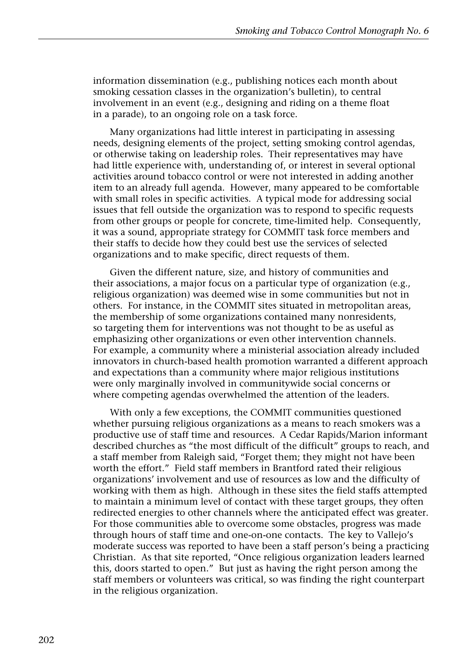information dissemination (e.g., publishing notices each month about smoking cessation classes in the organization's bulletin), to central involvement in an event (e.g., designing and riding on a theme float in a parade), to an ongoing role on a task force.

Many organizations had little interest in participating in assessing needs, designing elements of the project, setting smoking control agendas, or otherwise taking on leadership roles. Their representatives may have had little experience with, understanding of, or interest in several optional activities around tobacco control or were not interested in adding another item to an already full agenda. However, many appeared to be comfortable with small roles in specific activities. A typical mode for addressing social issues that fell outside the organization was to respond to specific requests from other groups or people for concrete, time-limited help. Consequently, it was a sound, appropriate strategy for COMMIT task force members and their staffs to decide how they could best use the services of selected organizations and to make specific, direct requests of them.

Given the different nature, size, and history of communities and their associations, a major focus on a particular type of organization (e.g., religious organization) was deemed wise in some communities but not in others. For instance, in the COMMIT sites situated in metropolitan areas, the membership of some organizations contained many nonresidents, so targeting them for interventions was not thought to be as useful as emphasizing other organizations or even other intervention channels. For example, a community where a ministerial association already included innovators in church-based health promotion warranted a different approach and expectations than a community where major religious institutions were only marginally involved in communitywide social concerns or where competing agendas overwhelmed the attention of the leaders.

With only a few exceptions, the COMMIT communities questioned whether pursuing religious organizations as a means to reach smokers was a productive use of staff time and resources. A Cedar Rapids/Marion informant described churches as "the most difficult of the difficult" groups to reach, and a staff member from Raleigh said, "Forget them; they might not have been worth the effort." Field staff members in Brantford rated their religious organizations' involvement and use of resources as low and the difficulty of working with them as high. Although in these sites the field staffs attempted to maintain a minimum level of contact with these target groups, they often redirected energies to other channels where the anticipated effect was greater. For those communities able to overcome some obstacles, progress was made through hours of staff time and one-on-one contacts. The key to Vallejo's moderate success was reported to have been a staff person's being a practicing Christian. As that site reported, "Once religious organization leaders learned this, doors started to open." But just as having the right person among the staff members or volunteers was critical, so was finding the right counterpart in the religious organization.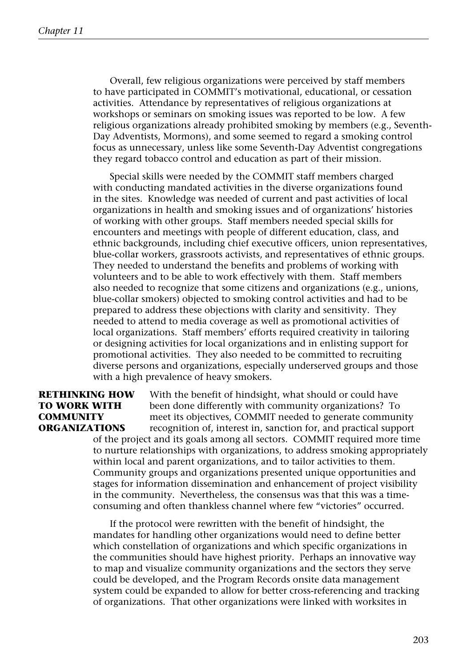Overall, few religious organizations were perceived by staff members to have participated in COMMIT's motivational, educational, or cessation activities. Attendance by representatives of religious organizations at workshops or seminars on smoking issues was reported to be low. A few religious organizations already prohibited smoking by members (e.g., Seventh-Day Adventists, Mormons), and some seemed to regard a smoking control focus as unnecessary, unless like some Seventh-Day Adventist congregations they regard tobacco control and education as part of their mission.

Special skills were needed by the COMMIT staff members charged with conducting mandated activities in the diverse organizations found in the sites. Knowledge was needed of current and past activities of local organizations in health and smoking issues and of organizations' histories of working with other groups. Staff members needed special skills for encounters and meetings with people of different education, class, and ethnic backgrounds, including chief executive officers, union representatives, blue-collar workers, grassroots activists, and representatives of ethnic groups. They needed to understand the benefits and problems of working with volunteers and to be able to work effectively with them. Staff members also needed to recognize that some citizens and organizations (e.g., unions, blue-collar smokers) objected to smoking control activities and had to be prepared to address these objections with clarity and sensitivity. They needed to attend to media coverage as well as promotional activities of local organizations. Staff members' efforts required creativity in tailoring or designing activities for local organizations and in enlisting support for promotional activities. They also needed to be committed to recruiting diverse persons and organizations, especially underserved groups and those with a high prevalence of heavy smokers.

**RETHINKING HOW** With the benefit of hindsight, what should or could have **TO WORK WITH** been done differently with community organizations? To **COMMUNITY** meet its objectives, COMMIT needed to generate community **ORGANIZATIONS** recognition of, interest in, sanction for, and practical support of the project and its goals among all sectors. COMMIT required more time to nurture relationships with organizations, to address smoking appropriately within local and parent organizations, and to tailor activities to them. Community groups and organizations presented unique opportunities and stages for information dissemination and enhancement of project visibility in the community. Nevertheless, the consensus was that this was a timeconsuming and often thankless channel where few "victories" occurred.

> If the protocol were rewritten with the benefit of hindsight, the mandates for handling other organizations would need to define better which constellation of organizations and which specific organizations in the communities should have highest priority. Perhaps an innovative way to map and visualize community organizations and the sectors they serve could be developed, and the Program Records onsite data management system could be expanded to allow for better cross-referencing and tracking of organizations. That other organizations were linked with worksites in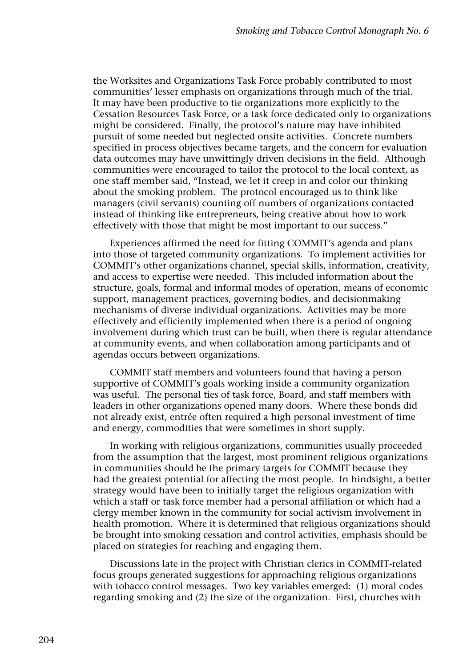the Worksites and Organizations Task Force probably contributed to most communities' lesser emphasis on organizations through much of the trial. It may have been productive to tie organizations more explicitly to the Cessation Resources Task Force, or a task force dedicated only to organizations might be considered. Finally, the protocol's nature may have inhibited pursuit of some needed but neglected onsite activities. Concrete numbers specified in process objectives became targets, and the concern for evaluation data outcomes may have unwittingly driven decisions in the field. Although communities were encouraged to tailor the protocol to the local context, as one staff member said, "Instead, we let it creep in and color our thinking about the smoking problem. The protocol encouraged us to think like managers (civil servants) counting off numbers of organizations contacted instead of thinking like entrepreneurs, being creative about how to work effectively with those that might be most important to our success."

Experiences affirmed the need for fitting COMMIT's agenda and plans into those of targeted community organizations. To implement activities for COMMIT's other organizations channel, special skills, information, creativity, and access to expertise were needed. This included information about the structure, goals, formal and informal modes of operation, means of economic support, management practices, governing bodies, and decisionmaking mechanisms of diverse individual organizations. Activities may be more effectively and efficiently implemented when there is a period of ongoing involvement during which trust can be built, when there is regular attendance at community events, and when collaboration among participants and of agendas occurs between organizations.

COMMIT staff members and volunteers found that having a person supportive of COMMIT's goals working inside a community organization was useful. The personal ties of task force, Board, and staff members with leaders in other organizations opened many doors. Where these bonds did not already exist, entrée often required a high personal investment of time and energy, commodities that were sometimes in short supply.

In working with religious organizations, communities usually proceeded from the assumption that the largest, most prominent religious organizations in communities should be the primary targets for COMMIT because they had the greatest potential for affecting the most people. In hindsight, a better strategy would have been to initially target the religious organization with which a staff or task force member had a personal affiliation or which had a clergy member known in the community for social activism involvement in health promotion. Where it is determined that religious organizations should be brought into smoking cessation and control activities, emphasis should be placed on strategies for reaching and engaging them.

Discussions late in the project with Christian clerics in COMMIT-related focus groups generated suggestions for approaching religious organizations with tobacco control messages. Two key variables emerged: (1) moral codes regarding smoking and (2) the size of the organization. First, churches with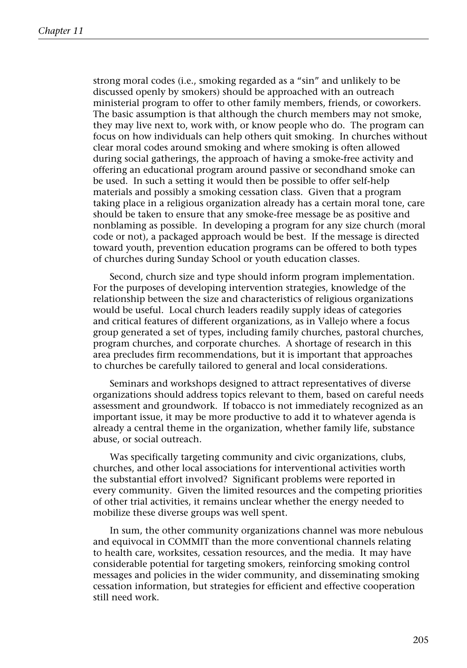strong moral codes (i.e., smoking regarded as a "sin" and unlikely to be discussed openly by smokers) should be approached with an outreach ministerial program to offer to other family members, friends, or coworkers. The basic assumption is that although the church members may not smoke, they may live next to, work with, or know people who do. The program can focus on how individuals can help others quit smoking. In churches without clear moral codes around smoking and where smoking is often allowed during social gatherings, the approach of having a smoke-free activity and offering an educational program around passive or secondhand smoke can be used. In such a setting it would then be possible to offer self-help materials and possibly a smoking cessation class. Given that a program taking place in a religious organization already has a certain moral tone, care should be taken to ensure that any smoke-free message be as positive and nonblaming as possible. In developing a program for any size church (moral code or not), a packaged approach would be best. If the message is directed toward youth, prevention education programs can be offered to both types of churches during Sunday School or youth education classes.

Second, church size and type should inform program implementation. For the purposes of developing intervention strategies, knowledge of the relationship between the size and characteristics of religious organizations would be useful. Local church leaders readily supply ideas of categories and critical features of different organizations, as in Vallejo where a focus group generated a set of types, including family churches, pastoral churches, program churches, and corporate churches. A shortage of research in this area precludes firm recommendations, but it is important that approaches to churches be carefully tailored to general and local considerations.

Seminars and workshops designed to attract representatives of diverse organizations should address topics relevant to them, based on careful needs assessment and groundwork. If tobacco is not immediately recognized as an important issue, it may be more productive to add it to whatever agenda is already a central theme in the organization, whether family life, substance abuse, or social outreach.

Was specifically targeting community and civic organizations, clubs, churches, and other local associations for interventional activities worth the substantial effort involved? Significant problems were reported in every community. Given the limited resources and the competing priorities of other trial activities, it remains unclear whether the energy needed to mobilize these diverse groups was well spent.

In sum, the other community organizations channel was more nebulous and equivocal in COMMIT than the more conventional channels relating to health care, worksites, cessation resources, and the media. It may have considerable potential for targeting smokers, reinforcing smoking control messages and policies in the wider community, and disseminating smoking cessation information, but strategies for efficient and effective cooperation still need work.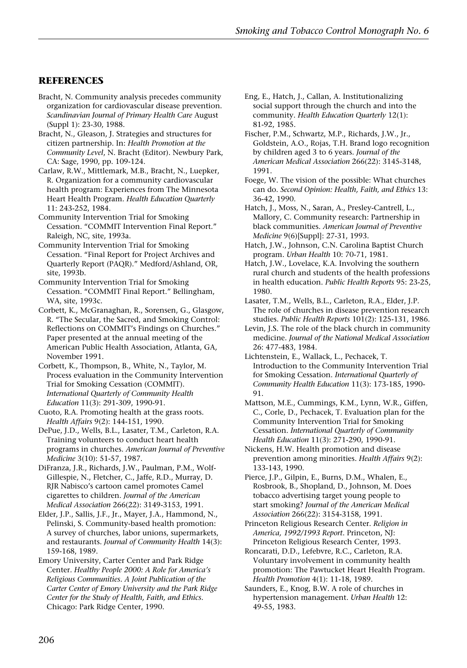## **REFERENCES**

- Bracht, N. Community analysis precedes community organization for cardiovascular disease prevention. *Scandinavian Journal of Primary Health Care* August (Suppl 1): 23-30, 1988.
- Bracht, N., Gleason, J. Strategies and structures for citizen partnership. In: *Health Promotion at the Community Level*, N. Bracht (Editor). Newbury Park, CA: Sage, 1990, pp. 109-124.
- Carlaw, R.W., Mittlemark, M.B., Bracht, N., Luepker, R. Organization for a community cardiovascular health program: Experiences from The Minnesota Heart Health Program. *Health Education Quarterly* 11: 243-252, 1984.
- Community Intervention Trial for Smoking Cessation. "COMMIT Intervention Final Report." Raleigh, NC, site, 1993a.
- Community Intervention Trial for Smoking Cessation. "Final Report for Project Archives and Quarterly Report (PAQR)." Medford/Ashland, OR, site, 1993b.
- Community Intervention Trial for Smoking Cessation. "COMMIT Final Report." Bellingham, WA, site, 1993c.
- Corbett, K., McGranaghan, R., Sorensen, G., Glasgow, R. "The Secular, the Sacred, and Smoking Control: Reflections on COMMIT's Findings on Churches." Paper presented at the annual meeting of the American Public Health Association, Atlanta, GA, November 1991.
- Corbett, K., Thompson, B., White, N., Taylor, M. Process evaluation in the Community Intervention Trial for Smoking Cessation (COMMIT). *International Quarterly of Community Health Education* 11(3): 291-309, 1990-91.
- Cuoto, R.A. Promoting health at the grass roots. *Health Affairs* 9(2): 144-151, 1990.
- DePue, J.D., Wells, B.L., Lasater, T.M., Carleton, R.A. Training volunteers to conduct heart health programs in churches. *American Journal of Preventive Medicine* 3(10): 51-57, 1987.
- DiFranza, J.R., Richards, J.W., Paulman, P.M., Wolf-Gillespie, N., Fletcher, C., Jaffe, R.D., Murray, D. RJR Nabisco's cartoon camel promotes Camel cigarettes to children. *Journal of the American Medical Association* 266(22): 3149-3153, 1991.
- Elder, J.P., Sallis, J.F., Jr., Mayer, J.A., Hammond, N., Pelinski, S. Community-based health promotion: A survey of churches, labor unions, supermarkets, and restaurants. *Journal of Community Health* 14(3): 159-168, 1989.
- Emory University, Carter Center and Park Ridge Center. *Healthy People 2000: A Role for America's Religious Communities. A Joint Publication of the Carter Center of Emory University and the Park Ridge Center for the Study of Health, Faith, and Ethics*. Chicago: Park Ridge Center, 1990.
- Eng, E., Hatch, J., Callan, A. Institutionalizing social support through the church and into the community. *Health Education Quarterly* 12(1): 81-92, 1985.
- Fischer, P.M., Schwartz, M.P., Richards, J.W., Jr., Goldstein, A.O., Rojas, T.H. Brand logo recognition by children aged 3 to 6 years. *Journal of the American Medical Association* 266(22): 3145-3148, 1991.
- Foege, W. The vision of the possible: What churches can do. *Second Opinion: Health, Faith, and Ethics* 13: 36-42, 1990.
- Hatch, J., Moss, N., Saran, A., Presley-Cantrell, L., Mallory, C. Community research: Partnership in black communities. *American Journal of Preventive Medicine* 9(6)[Suppl]: 27-31, 1993.
- Hatch, J.W., Johnson, C.N. Carolina Baptist Church program. *Urban Health* 10: 70-71, 1981.
- Hatch, J.W., Lovelace, K.A. Involving the southern rural church and students of the health professions in health education. *Public Health Reports* 95: 23-25, 1980.
- Lasater, T.M., Wells, B.L., Carleton, R.A., Elder, J.P. The role of churches in disease prevention research studies. *Public Health Reports* 101(2): 125-131, 1986.
- Levin, J.S. The role of the black church in community medicine. *Journal of the National Medical Association* 26: 477-483, 1984.
- Lichtenstein, E., Wallack, L., Pechacek, T. Introduction to the Community Intervention Trial for Smoking Cessation. *International Quarterly of Community Health Education* 11(3): 173-185, 1990- 91.
- Mattson, M.E., Cummings, K.M., Lynn, W.R., Giffen, C., Corle, D., Pechacek, T. Evaluation plan for the Community Intervention Trial for Smoking Cessation. *International Quarterly of Community Health Education* 11(3): 271-290, 1990-91.
- Nickens, H.W. Health promotion and disease prevention among minorities. *Health Affairs* 9(2): 133-143, 1990.
- Pierce, J.P., Gilpin, E., Burns, D.M., Whalen, E., Rosbrook, B., Shopland, D., Johnson, M. Does tobacco advertising target young people to start smoking? *Journal of the American Medical Association* 266(22): 3154-3158, 1991.
- Princeton Religious Research Center. *Religion in America, 1992/1993 Report*. Princeton, NJ: Princeton Religious Research Center, 1993.
- Roncarati, D.D., Lefebvre, R.C., Carleton, R.A. Voluntary involvement in community health promotion: The Pawtucket Heart Health Program. *Health Promotion* 4(1): 11-18, 1989.
- Saunders, E., Knog, B.W. A role of churches in hypertension management. *Urban Health* 12: 49-55, 1983.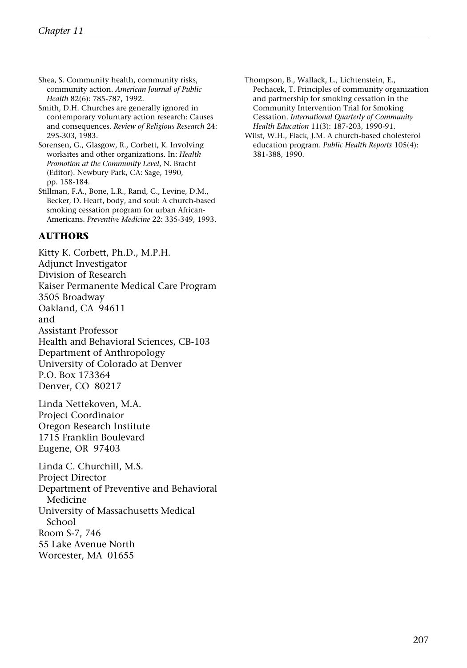- Shea, S. Community health, community risks, community action. *American Journal of Public Health* 82(6): 785-787, 1992.
- Smith, D.H. Churches are generally ignored in contemporary voluntary action research: Causes and consequences. *Review of Religious Research* 24: 295-303, 1983.
- Sorensen, G., Glasgow, R., Corbett, K. Involving worksites and other organizations. In: *Health Promotion at the Community Level*, N. Bracht (Editor). Newbury Park, CA: Sage, 1990, pp. 158-184.
- Stillman, F.A., Bone, L.R., Rand, C., Levine, D.M., Becker, D. Heart, body, and soul: A church-based smoking cessation program for urban African-Americans. *Preventive Medicine* 22: 335-349, 1993.

## **AUTHORS**

Kitty K. Corbett, Ph.D., M.P.H. Adjunct Investigator Division of Research Kaiser Permanente Medical Care Program 3505 Broadway Oakland, CA 94611 and Assistant Professor Health and Behavioral Sciences, CB-103 Department of Anthropology University of Colorado at Denver P.O. Box 173364 Denver, CO 80217

Linda Nettekoven, M.A. Project Coordinator Oregon Research Institute 1715 Franklin Boulevard Eugene, OR 97403

Linda C. Churchill, M.S. Project Director Department of Preventive and Behavioral Medicine University of Massachusetts Medical School Room S-7, 746 55 Lake Avenue North Worcester, MA 01655

- Thompson, B., Wallack, L., Lichtenstein, E., Pechacek, T. Principles of community organization and partnership for smoking cessation in the Community Intervention Trial for Smoking Cessation. *International Quarterly of Community Health Education* 11(3): 187-203, 1990-91.
- Wiist, W.H., Flack, J.M. A church-based cholesterol education program. *Public Health Reports* 105(4): 381-388, 1990.